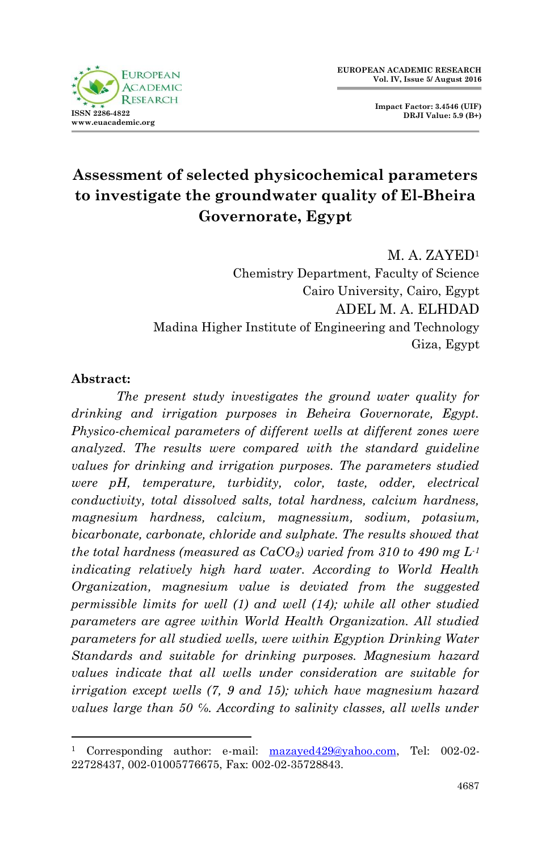

**Impact Factor: 3.4546 (UIF) DRJI Value: 5.9 (B+)**

# **Assessment of selected physicochemical parameters to investigate the groundwater quality of El-Bheira Governorate, Egypt**

M. A. ZAYED<sup>1</sup> Chemistry Department, Faculty of Science Cairo University, Cairo, Egypt ADEL M. A. ELHDAD Madina Higher Institute of Engineering and Technology Giza, Egypt

#### **Abstract:**

1

*The present study investigates the ground water quality for drinking and irrigation purposes in Beheira Governorate, Egypt. Physico-chemical parameters of different wells at different zones were analyzed. The results were compared with the standard guideline values for drinking and irrigation purposes. The parameters studied were pH, temperature, turbidity, color, taste, odder, electrical conductivity, total dissolved salts, total hardness, calcium hardness, magnesium hardness, calcium, magnessium, sodium, potasium, bicarbonate, carbonate, chloride and sulphate. The results showed that the total hardness (measured as CaCO3) varied from 310 to 490 mg L-1 indicating relatively high hard water. According to World Health Organization, magnesium value is deviated from the suggested permissible limits for well (1) and well (14); while all other studied parameters are agree within World Health Organization. All studied parameters for all studied wells, were within Egyption Drinking Water Standards and suitable for drinking purposes. Magnesium hazard values indicate that all wells under consideration are suitable for irrigation except wells (7, 9 and 15); which have magnesium hazard values large than 50 ℅. According to salinity classes, all wells under* 

<sup>1</sup> Corresponding author: e-mail: [mazayed429@yahoo.com,](mailto:mazayed429@yahoo.com) Tel: 002-02- 22728437, 002-01005776675, Fax: 002-02-35728843.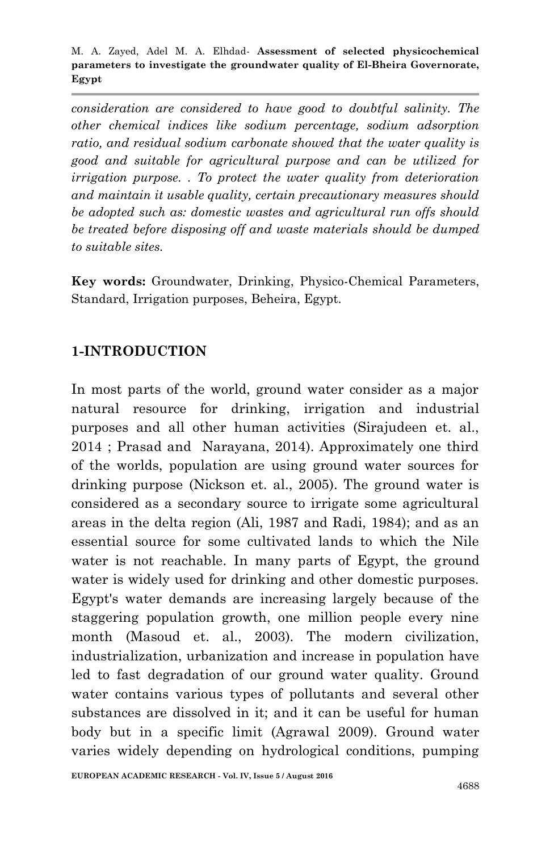*consideration are considered to have good to doubtful salinity. The other chemical indices like sodium percentage, sodium adsorption ratio, and residual sodium carbonate showed that the water quality is good and suitable for agricultural purpose and can be utilized for irrigation purpose. . To protect the water quality from deterioration and maintain it usable quality, certain precautionary measures should be adopted such as: domestic wastes and agricultural run offs should be treated before disposing off and waste materials should be dumped to suitable sites.*

**Key words:** Groundwater, Drinking, Physico-Chemical Parameters, Standard, Irrigation purposes, Beheira, Egypt.

### **1-INTRODUCTION**

In most parts of the world, ground water consider as a major natural resource for drinking, irrigation and industrial purposes and all other human activities (Sirajudeen et. al., 2014 ; Prasad and Narayana, 2014). Approximately one third of the worlds, population are using ground water sources for drinking purpose (Nickson et. al., 2005). The ground water is considered as a secondary source to irrigate some agricultural areas in the delta region (Ali, 1987 and Radi, 1984); and as an essential source for some cultivated lands to which the Nile water is not reachable. In many parts of Egypt, the ground water is widely used for drinking and other domestic purposes. Egypt's water demands are increasing largely because of the staggering population growth, one million people every nine month (Masoud et. al., 2003). The modern civilization, industrialization, urbanization and increase in population have led to fast degradation of our ground water quality. Ground water contains various types of pollutants and several other substances are dissolved in it; and it can be useful for human body but in a specific limit (Agrawal 2009). Ground water varies widely depending on hydrological conditions, pumping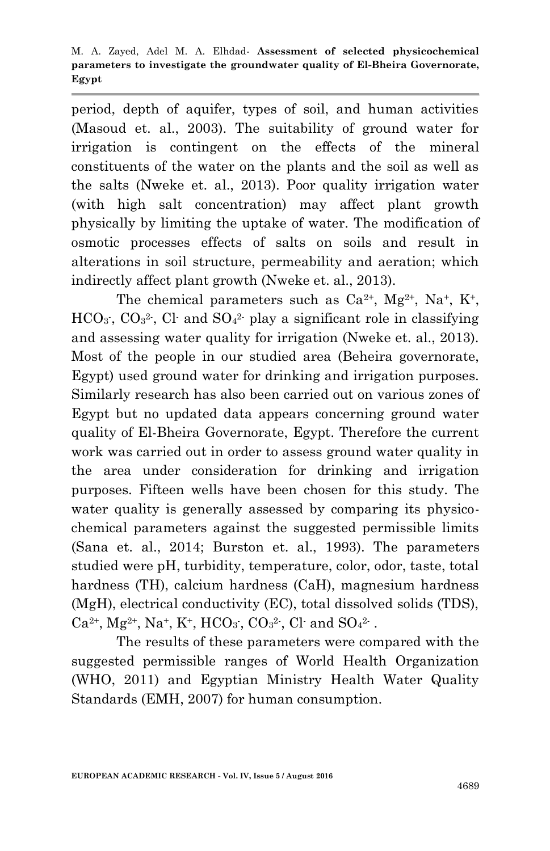period, depth of aquifer, types of soil, and human activities (Masoud et. al., 2003). The suitability of ground water for irrigation is contingent on the effects of the mineral constituents of the water on the plants and the soil as well as the salts (Nweke et. al., 2013). Poor quality irrigation water (with high salt concentration) may affect plant growth physically by limiting the uptake of water. The modification of osmotic processes effects of salts on soils and result in alterations in soil structure, permeability and aeration; which indirectly affect plant growth (Nweke et. al., 2013).

The chemical parameters such as  $Ca^{2+}$ ,  $Mg^{2+}$ ,  $Na^{+}$ ,  $K^{+}$ ,  $HCO<sub>3</sub>$ ,  $CO<sub>3</sub><sup>2</sup>$ , Cl and  $SO<sub>4</sub><sup>2</sup>$  play a significant role in classifying and assessing water quality for irrigation (Nweke et. al., 2013). Most of the people in our studied area (Beheira governorate, Egypt) used ground water for drinking and irrigation purposes. Similarly research has also been carried out on various zones of Egypt but no updated data appears concerning ground water quality of El-Bheira Governorate, Egypt. Therefore the current work was carried out in order to assess ground water quality in the area under consideration for drinking and irrigation purposes. Fifteen wells have been chosen for this study. The water quality is generally assessed by comparing its physicochemical parameters against the suggested permissible limits (Sana et. al., 2014; Burston et. al., 1993). The parameters studied were pH, turbidity, temperature, color, odor, taste, total hardness (TH), calcium hardness (CaH), magnesium hardness (MgH), electrical conductivity (EC), total dissolved solids (TDS),  $Ca^{2+}$ , Mg<sup>2+</sup>, Na<sup>+</sup>, K<sup>+</sup>, HCO<sub>3</sub>, CO<sub>3</sub><sup>2</sup>, Cl· and SO<sub>4</sub><sup>2</sup>.

The results of these parameters were compared with the suggested permissible ranges of World Health Organization (WHO, 2011) and Egyptian Ministry Health Water Quality Standards (EMH, 2007) for human consumption.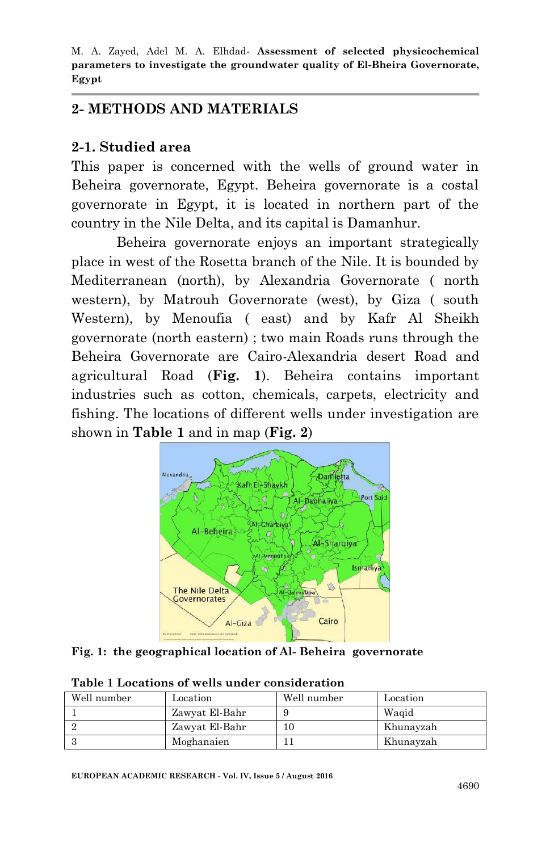#### **2- METHODS AND MATERIALS**

#### **2-1. Studied area**

This paper is concerned with the wells of ground water in Beheira governorate, Egypt. Beheira governorate is a costal governorate in Egypt, it is located in northern part of the country in the Nile Delta, and its capital is Damanhur.

Beheira governorate enjoys an important strategically place in west of the Rosetta branch of the Nile. It is bounded by Mediterranean (north), by Alexandria Governorate ( north western), by Matrouh Governorate (west), by Giza ( south Western), by Menoufia ( east) and by Kafr Al Sheikh governorate (north eastern) ; two main Roads runs through the Beheira Governorate are Cairo-Alexandria desert Road and agricultural Road (**Fig. 1**). Beheira contains important industries such as cotton, chemicals, carpets, electricity and fishing. The locations of different wells under investigation are shown in **Table 1** and in map (**Fig. 2**)



**Fig. 1: the geographical location of Al- Beheira governorate**

| Well number | Location       | Well number | Location  |
|-------------|----------------|-------------|-----------|
|             | Zawyat El-Bahr |             | Waqid     |
|             | Zawyat El-Bahr |             | Khunayzah |
|             | Moghanaien     |             | Khunayzah |

**Table 1 Locations of wells under consideration**

**EUROPEAN ACADEMIC RESEARCH - Vol. IV, Issue 5 / August 2016**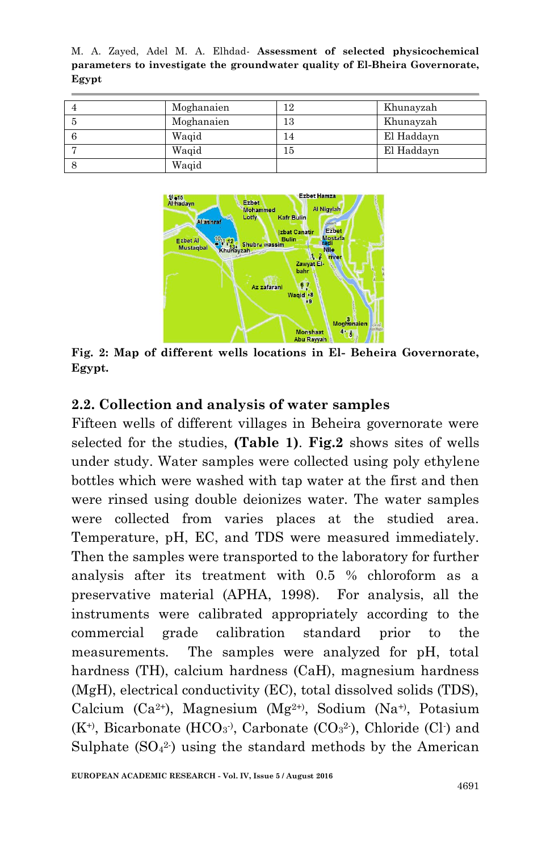| Moghanaien |    | Khunayzah  |
|------------|----|------------|
| Moghanaien | 13 | Khunayzah  |
| Waqid      | 4  | El Haddayn |
| Waqid      | l5 | El Haddayn |
| Waqid      |    |            |



**Fig. 2: Map of different wells locations in El- Beheira Governorate, Egypt.**

#### **2.2. Collection and analysis of water samples**

Fifteen wells of different villages in Beheira governorate were selected for the studies, **(Table 1)**. **Fig.2** shows sites of wells under study. Water samples were collected using poly ethylene bottles which were washed with tap water at the first and then were rinsed using double deionizes water. The water samples were collected from varies places at the studied area. Temperature, pH, EC, and TDS were measured immediately. Then the samples were transported to the laboratory for further analysis after its treatment with 0.5 % chloroform as a preservative material (APHA, 1998). For analysis, all the instruments were calibrated appropriately according to the commercial grade calibration standard prior to the measurements. The samples were analyzed for pH, total hardness (TH), calcium hardness (CaH), magnesium hardness (MgH), electrical conductivity (EC), total dissolved solids (TDS), Calcium (Ca2+), Magnesium (Mg2+), Sodium (Na+), Potasium  $(K^+)$ , Bicarbonate (HCO<sub>3</sub><sup>)</sup>, Carbonate (CO<sub>3</sub><sup>2</sup>), Chloride (Cl<sup>-</sup>) and Sulphate  $(SO<sub>4</sub><sup>2</sup>)$  using the standard methods by the American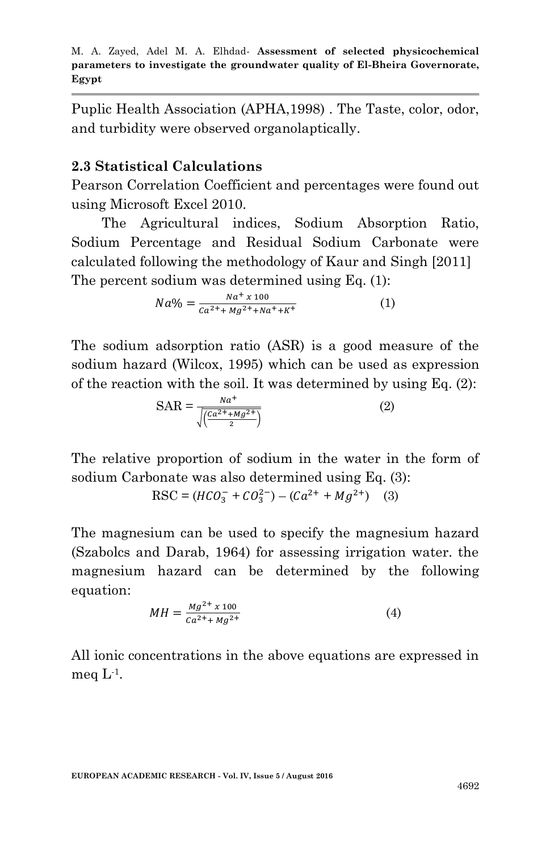Puplic Health Association (APHA,1998) . The Taste, color, odor, and turbidity were observed organolaptically.

#### **2.3 Statistical Calculations**

Pearson Correlation Coefficient and percentages were found out using Microsoft Excel 2010.

 The Agricultural indices, Sodium Absorption Ratio, Sodium Percentage and Residual Sodium Carbonate were calculated following the methodology of Kaur and Singh [2011] The percent sodium was determined using Eq. (1):

$$
Na\% = \frac{Na^{+} \times 100}{Ca^{2+} + Mg^{2+} + Na^{+} + K^{+}}
$$
 (1)

The sodium adsorption ratio (ASR) is a good measure of the sodium hazard (Wilcox, 1995) which can be used as expression of the reaction with the soil. It was determined by using Eq. (2):

$$
SAR = \frac{na^{+}}{\sqrt{\left(\frac{Ca^{2}++Mg^{2}+}{2}\right)}}
$$
 (2)

The relative proportion of sodium in the water in the form of sodium Carbonate was also determined using Eq. (3):

$$
RSC = (HCO_3^- + CO_3^{2-}) - (Ca^{2+} + Mg^{2+})
$$
 (3)

The magnesium can be used to specify the magnesium hazard (Szabolcs and Darab, 1964) for assessing irrigation water. the magnesium hazard can be determined by the following equation:

$$
MH = \frac{Mg^{2+} \times 100}{Ca^{2+} + Mg^{2+}} \tag{4}
$$

All ionic concentrations in the above equations are expressed in meq  $L<sup>-1</sup>$ .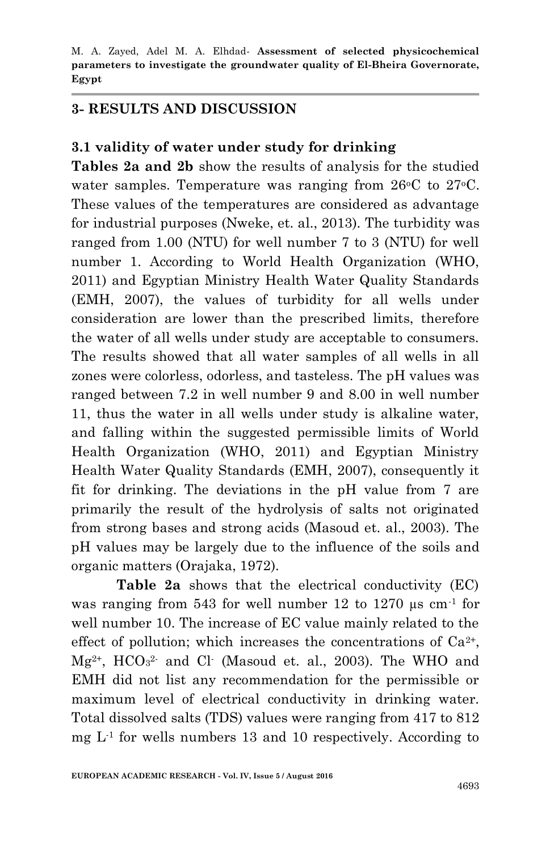#### **3- RESULTS AND DISCUSSION**

#### **3.1 validity of water under study for drinking**

**Tables 2a and 2b** show the results of analysis for the studied water samples. Temperature was ranging from  $26^{\circ}$ C to  $27^{\circ}$ C. These values of the temperatures are considered as advantage for industrial purposes (Nweke, et. al., 2013). The turbidity was ranged from 1.00 (NTU) for well number 7 to 3 (NTU) for well number 1. According to World Health Organization (WHO, 2011) and Egyptian Ministry Health Water Quality Standards (EMH, 2007), the values of turbidity for all wells under consideration are lower than the prescribed limits, therefore the water of all wells under study are acceptable to consumers. The results showed that all water samples of all wells in all zones were colorless, odorless, and tasteless. The pH values was ranged between 7.2 in well number 9 and 8.00 in well number 11, thus the water in all wells under study is alkaline water, and falling within the suggested permissible limits of World Health Organization (WHO, 2011) and Egyptian Ministry Health Water Quality Standards (EMH, 2007), consequently it fit for drinking. The deviations in the pH value from 7 are primarily the result of the hydrolysis of salts not originated from strong bases and strong acids (Masoud et. al., 2003). The pH values may be largely due to the influence of the soils and organic matters (Orajaka, 1972).

**Table 2a** shows that the electrical conductivity (EC) was ranging from 543 for well number 12 to 1270  $\mu$ s cm<sup>-1</sup> for well number 10. The increase of EC value mainly related to the effect of pollution; which increases the concentrations of  $Ca^{2+}$ ,  $Mg^{2+}$ ,  $HCO<sub>3</sub><sup>2</sup>$  and Cl (Masoud et. al., 2003). The WHO and EMH did not list any recommendation for the permissible or maximum level of electrical conductivity in drinking water. Total dissolved salts (TDS) values were ranging from 417 to 812  $mg L<sup>1</sup>$  for wells numbers 13 and 10 respectively. According to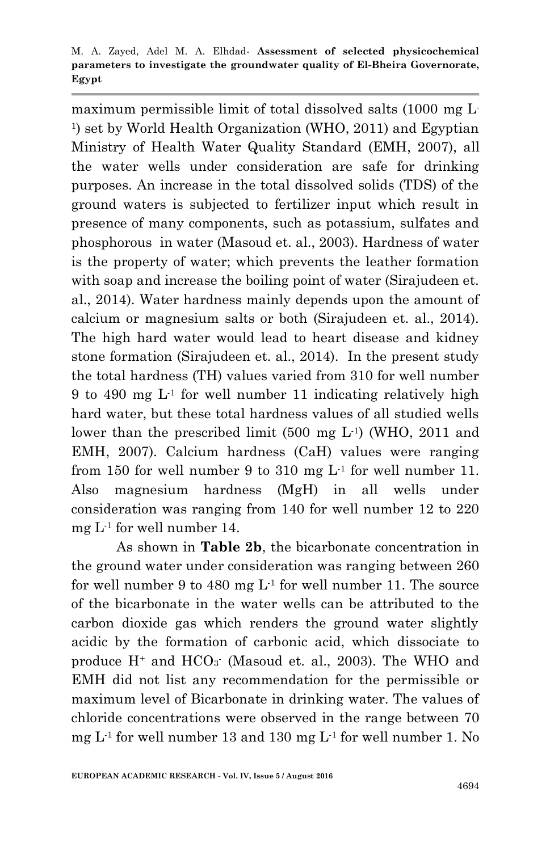maximum permissible limit of total dissolved salts (1000 mg L-1 ) set by World Health Organization (WHO, 2011) and Egyptian Ministry of Health Water Quality Standard (EMH, 2007), all the water wells under consideration are safe for drinking purposes. An increase in the total dissolved solids (TDS) of the ground waters is subjected to fertilizer input which result in presence of many components, such as potassium, sulfates and phosphorous in water (Masoud et. al., 2003). Hardness of water is the property of water; which prevents the leather formation with soap and increase the boiling point of water (Sirajudeen et. al., 2014). Water hardness mainly depends upon the amount of calcium or magnesium salts or both (Sirajudeen et. al., 2014). The high hard water would lead to heart disease and kidney stone formation (Sirajudeen et. al., 2014). In the present study the total hardness (TH) values varied from 310 for well number 9 to 490 mg  $L^1$  for well number 11 indicating relatively high hard water, but these total hardness values of all studied wells lower than the prescribed limit (500 mg L<sup>1</sup>) (WHO, 2011 and EMH, 2007). Calcium hardness (CaH) values were ranging from 150 for well number 9 to 310 mg  $L<sup>1</sup>$  for well number 11. Also magnesium hardness (MgH) in all wells under consideration was ranging from 140 for well number 12 to 220 mg L-1 for well number 14.

As shown in **Table 2b**, the bicarbonate concentration in the ground water under consideration was ranging between 260 for well number 9 to 480 mg  $L^1$  for well number 11. The source of the bicarbonate in the water wells can be attributed to the carbon dioxide gas which renders the ground water slightly acidic by the formation of carbonic acid, which dissociate to produce  $H^+$  and  $HCO<sub>3</sub>$  (Masoud et. al., 2003). The WHO and EMH did not list any recommendation for the permissible or maximum level of Bicarbonate in drinking water. The values of chloride concentrations were observed in the range between 70 mg  $L<sup>1</sup>$  for well number 13 and 130 mg  $L<sup>1</sup>$  for well number 1. No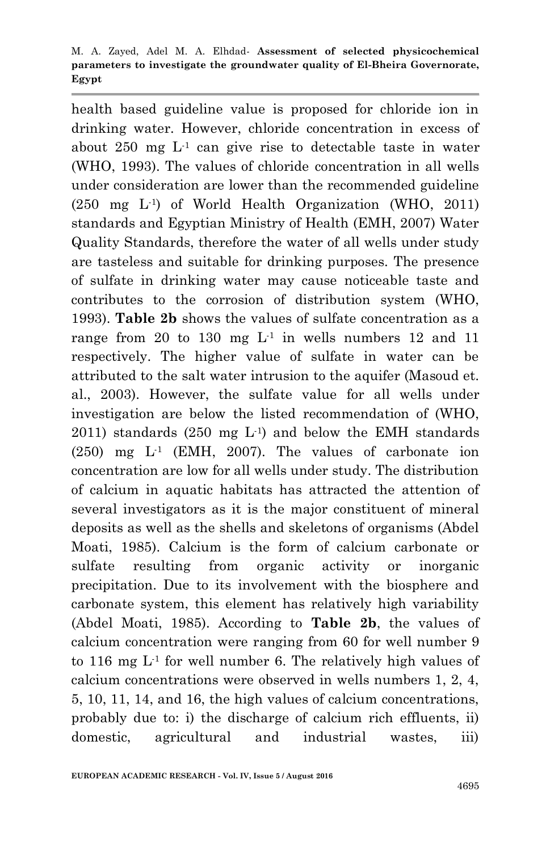health based guideline value is proposed for chloride ion in drinking water. However, chloride concentration in excess of about 250 mg  $L<sup>1</sup>$  can give rise to detectable taste in water (WHO, 1993). The values of chloride concentration in all wells under consideration are lower than the recommended guideline (250 mg L-1 ) of World Health Organization (WHO, 2011) standards and Egyptian Ministry of Health (EMH, 2007) Water Quality Standards, therefore the water of all wells under study are tasteless and suitable for drinking purposes. The presence of sulfate in drinking water may cause noticeable taste and contributes to the corrosion of distribution system (WHO, 1993). **Table 2b** shows the values of sulfate concentration as a range from 20 to 130 mg  $L^1$  in wells numbers 12 and 11 respectively. The higher value of sulfate in water can be attributed to the salt water intrusion to the aquifer (Masoud et. al., 2003). However, the sulfate value for all wells under investigation are below the listed recommendation of (WHO,  $2011$ ) standards  $(250 \text{ mg } L<sup>1</sup>)$  and below the EMH standards  $(250)$  mg  $L<sup>1</sup>$  (EMH, 2007). The values of carbonate ion concentration are low for all wells under study. The distribution of calcium in aquatic habitats has attracted the attention of several investigators as it is the major constituent of mineral deposits as well as the shells and skeletons of organisms (Abdel Moati, 1985). Calcium is the form of calcium carbonate or sulfate resulting from organic activity or inorganic precipitation. Due to its involvement with the biosphere and carbonate system, this element has relatively high variability (Abdel Moati, 1985). According to **Table 2b**, the values of calcium concentration were ranging from 60 for well number 9 to 116 mg  $L<sup>1</sup>$  for well number 6. The relatively high values of calcium concentrations were observed in wells numbers 1, 2, 4, 5, 10, 11, 14, and 16, the high values of calcium concentrations, probably due to: i) the discharge of calcium rich effluents, ii) domestic, agricultural and industrial wastes, iii)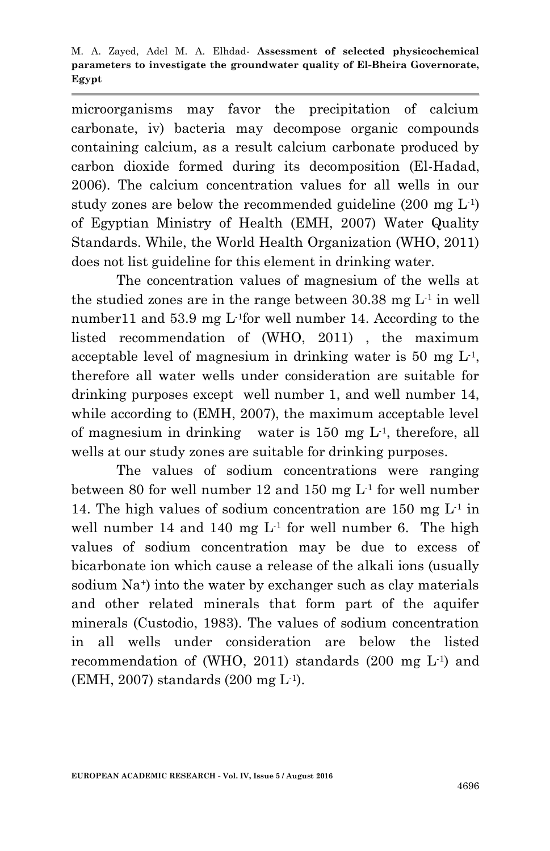microorganisms may favor the precipitation of calcium carbonate, iv) bacteria may decompose organic compounds containing calcium, as a result calcium carbonate produced by carbon dioxide formed during its decomposition (El-Hadad, 2006). The calcium concentration values for all wells in our study zones are below the recommended guideline  $(200 \text{ mg L}^{-1})$ of Egyptian Ministry of Health (EMH, 2007) Water Quality Standards. While, the World Health Organization (WHO, 2011) does not list guideline for this element in drinking water.

The concentration values of magnesium of the wells at the studied zones are in the range between  $30.38$  mg  $L<sup>1</sup>$  in well number11 and 53.9 mg L<sup>1</sup>for well number 14. According to the listed recommendation of (WHO, 2011) , the maximum acceptable level of magnesium in drinking water is 50 mg  $L<sup>1</sup>$ , therefore all water wells under consideration are suitable for drinking purposes except well number 1, and well number 14, while according to (EMH, 2007), the maximum acceptable level of magnesium in drinking water is  $150 \text{ mg } L$ <sup>1</sup>, therefore, all wells at our study zones are suitable for drinking purposes.

The values of sodium concentrations were ranging between 80 for well number 12 and 150 mg L-1 for well number 14. The high values of sodium concentration are 150 mg  $L^1$  in well number 14 and 140 mg  $L<sup>1</sup>$  for well number 6. The high values of sodium concentration may be due to excess of bicarbonate ion which cause a release of the alkali ions (usually sodium Na<sup>+</sup>) into the water by exchanger such as clay materials and other related minerals that form part of the aquifer minerals (Custodio, 1983). The values of sodium concentration in all wells under consideration are below the listed recommendation of (WHO, 2011) standards  $(200 \text{ mg } L^{-1})$  and (EMH, 2007) standards (200 mg L-1 ).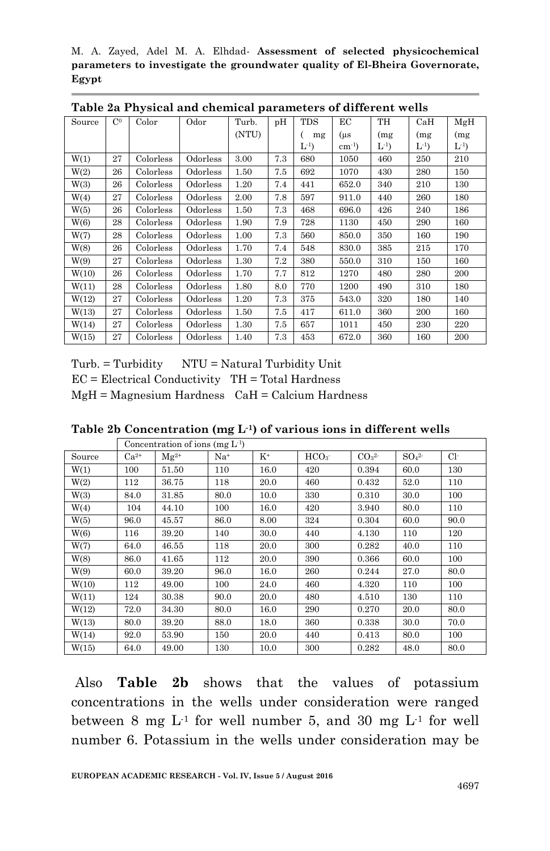| Source | C <sup>0</sup> | Color     | Odor     | Turb. | pH  | <b>TDS</b> | ЕC                 | TH      | CaH   | MgH      |
|--------|----------------|-----------|----------|-------|-----|------------|--------------------|---------|-------|----------|
|        |                |           |          | (NTU) |     | mg         | $(\mu s)$          | (mg)    | (mg)  | (mg)     |
|        |                |           |          |       |     | $L^{-1}$   | $\text{cm}^{-1}$ ) | $L^{1}$ | $L^1$ | $L^{-1}$ |
| W(1)   | 27             | Colorless | Odorless | 3.00  | 7.3 | 680        | 1050               | 460     | 250   | 210      |
| W(2)   | 26             | Colorless | Odorless | 1.50  | 7.5 | 692        | 1070               | 430     | 280   | 150      |
| W(3)   | 26             | Colorless | Odorless | 1.20  | 7.4 | 441        | 652.0              | 340     | 210   | 130      |
| W(4)   | 27             | Colorless | Odorless | 2.00  | 7.8 | 597        | 911.0              | 440     | 260   | 180      |
| W(5)   | 26             | Colorless | Odorless | 1.50  | 7.3 | 468        | 696.0              | 426     | 240   | 186      |
| W(6)   | 28             | Colorless | Odorless | 1.90  | 7.9 | 728        | 1130               | 450     | 290   | 160      |
| W(7)   | 28             | Colorless | Odorless | 1.00  | 7.3 | 560        | 850.0              | 350     | 160   | 190      |
| W(8)   | 26             | Colorless | Odorless | 1.70  | 7.4 | 548        | 830.0              | 385     | 215   | 170      |
| W(9)   | 27             | Colorless | Odorless | 1.30  | 7.2 | 380        | 550.0              | 310     | 150   | 160      |
| W(10)  | 26             | Colorless | Odorless | 1.70  | 7.7 | 812        | 1270               | 480     | 280   | 200      |
| W(11)  | 28             | Colorless | Odorless | 1.80  | 8.0 | 770        | 1200               | 490     | 310   | 180      |
| W(12)  | 27             | Colorless | Odorless | 1.20  | 7.3 | 375        | 543.0              | 320     | 180   | 140      |
| W(13)  | 27             | Colorless | Odorless | 1.50  | 7.5 | 417        | 611.0              | 360     | 200   | 160      |
| W(14)  | 27             | Colorless | Odorless | 1.30  | 7.5 | 657        | 1011               | 450     | 230   | 220      |
| W(15)  | 27             | Colorless | Odorless | 1.40  | 7.3 | 453        | 672.0              | 360     | 160   | 200      |

**Table 2a Physical and chemical parameters of different wells**

 $Turb. = Turbidity \t NTU = Natural Turbidity Unit$ 

 $EC = Electrical Conductivity$   $TH = Total Hardness$ 

 $MgH = Magnesium Hardness$   $CaH = Calcium Hardness$ 

**Table 2b Concentration (mg L-1) of various ions in different wells**

|        |           | Concentration of ions (mg $L^1$ ) |       |       |                  |                              |                              |      |
|--------|-----------|-----------------------------------|-------|-------|------------------|------------------------------|------------------------------|------|
| Source | $Ca^{2+}$ | $Mg^{2+}$                         | $Na+$ | $K^+$ | HCO <sub>3</sub> | CO <sub>3</sub> <sup>2</sup> | SO <sub>4</sub> <sup>2</sup> | Сŀ   |
| W(1)   | 100       | 51.50                             | 110   | 16.0  | 420              | 0.394                        | 60.0                         | 130  |
| W(2)   | 112       | 36.75                             | 118   | 20.0  | 460              | 0.432                        | 52.0                         | 110  |
| W(3)   | 84.0      | 31.85                             | 80.0  | 10.0  | 330              | 0.310                        | 30.0                         | 100  |
| W(4)   | 104       | 44.10                             | 100   | 16.0  | 420              | 3.940                        | 80.0                         | 110  |
| W(5)   | 96.0      | 45.57                             | 86.0  | 8.00  | 324              | 0.304                        | 60.0                         | 90.0 |
| W(6)   | 116       | 39.20                             | 140   | 30.0  | 440              | 4.130                        | 110                          | 120  |
| W(7)   | 64.0      | 46.55                             | 118   | 20.0  | 300              | 0.282                        | 40.0                         | 110  |
| W(8)   | 86.0      | 41.65                             | 112   | 20.0  | 390              | 0.366                        | 60.0                         | 100  |
| W(9)   | 60.0      | 39.20                             | 96.0  | 16.0  | 260              | 0.244                        | 27.0                         | 80.0 |
| W(10)  | 112       | 49.00                             | 100   | 24.0  | 460              | 4.320                        | 110                          | 100  |
| W(11)  | 124       | 30.38                             | 90.0  | 20.0  | 480              | 4.510                        | 130                          | 110  |
| W(12)  | 72.0      | 34.30                             | 80.0  | 16.0  | 290              | 0.270                        | 20.0                         | 80.0 |
| W(13)  | 80.0      | 39.20                             | 88.0  | 18.0  | 360              | 0.338                        | 30.0                         | 70.0 |
| W(14)  | 92.0      | 53.90                             | 150   | 20.0  | 440              | 0.413                        | 80.0                         | 100  |
| W(15)  | 64.0      | 49.00                             | 130   | 10.0  | 300              | 0.282                        | 48.0                         | 80.0 |

Also **Table 2b** shows that the values of potassium concentrations in the wells under consideration were ranged between 8 mg  $L^1$  for well number 5, and 30 mg  $L^1$  for well number 6. Potassium in the wells under consideration may be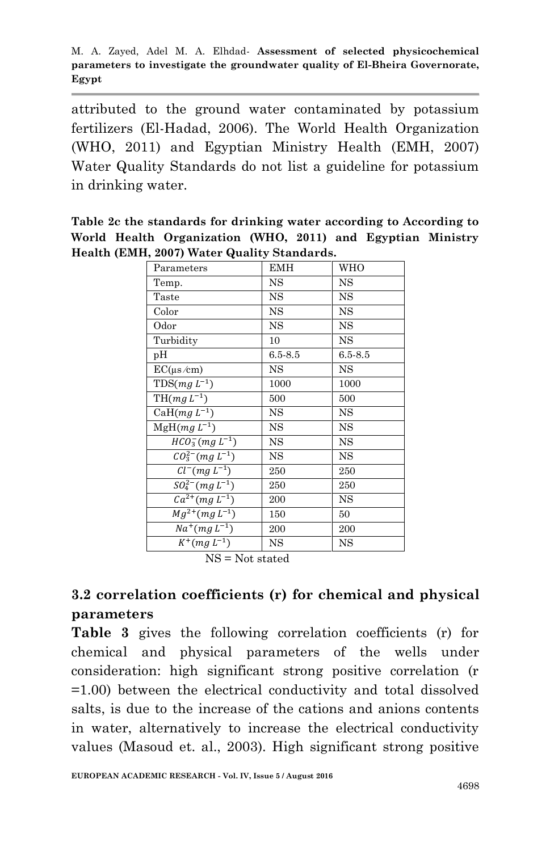attributed to the ground water contaminated by potassium fertilizers (El-Hadad, 2006). The World Health Organization (WHO, 2011) and Egyptian Ministry Health (EMH, 2007) Water Quality Standards do not list a guideline for potassium in drinking water.

**Table 2c the standards for drinking water according to According to World Health Organization (WHO, 2011) and Egyptian Ministry Health (EMH, 2007) Water Quality Standards.**

| Parameters                           | <b>EMH</b>  | WHO         |
|--------------------------------------|-------------|-------------|
| Temp.                                | $_{\rm NS}$ | <b>NS</b>   |
| Taste                                | $_{\rm NS}$ | <b>NS</b>   |
| Color                                | <b>NS</b>   | $_{\rm NS}$ |
| Odor                                 | $_{\rm NS}$ | $_{\rm NS}$ |
| Turbidity                            | 10          | <b>NS</b>   |
| рH                                   | $6.5 - 8.5$ | $6.5 - 8.5$ |
| $EC(\mu s/cm)$                       | <b>NS</b>   | <b>NS</b>   |
| $TDS(mg L^{-1})$                     | 1000        | 1000        |
| $\overline{\mathrm{TH}(mg\,L^{-1})}$ | 500         | 500         |
| CaH $(mg L^{-1})$                    | <b>NS</b>   | <b>NS</b>   |
| $\overline{\text{MgH}}(mgL^{-1})$    | <b>NS</b>   | $_{\rm NS}$ |
| $HCO_{3}^{-}(mg L^{-1})$             | <b>NS</b>   | <b>NS</b>   |
| $CO_3^{2-}(mg L^{-1})$               | NS          | <b>NS</b>   |
| $Cl^-(mg L^{-1})$                    | 250         | 250         |
| $SO_4^{2-}(mgL^{-1})$                | 250         | 250         |
| $Ca^{2+}(mg L^{-1})$                 | 200         | NS          |
| $Mg^{2+}(mg L^{-1})$                 | 150         | 50          |
| $\overline{Na^+}(mgL^{-1})$          | 200         | 200         |
| $K^{+}(mg L^{-1})$                   | <b>NS</b>   | $_{\rm NS}$ |

NS = Not stated

## **3.2 correlation coefficients (r) for chemical and physical parameters**

**Table 3** gives the following correlation coefficients (r) for chemical and physical parameters of the wells under consideration: high significant strong positive correlation (r =1.00) between the electrical conductivity and total dissolved salts, is due to the increase of the cations and anions contents in water, alternatively to increase the electrical conductivity values (Masoud et. al., 2003). High significant strong positive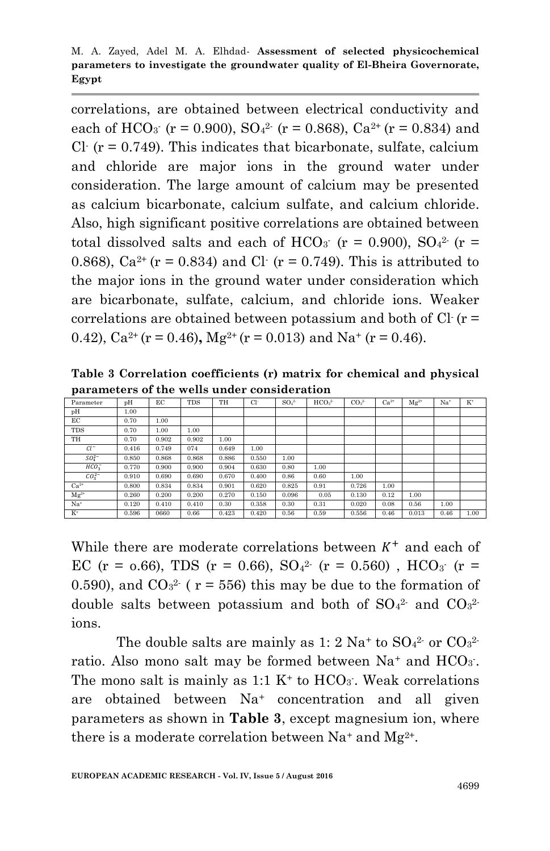correlations, are obtained between electrical conductivity and each of HCO<sub>3</sub> ( $r = 0.900$ ), SO<sub>4</sub><sup>2</sup> ( $r = 0.868$ ), Ca<sup>2+</sup> ( $r = 0.834$ ) and Cl  $(r = 0.749)$ . This indicates that bicarbonate, sulfate, calcium and chloride are major ions in the ground water under consideration. The large amount of calcium may be presented as calcium bicarbonate, calcium sulfate, and calcium chloride. Also, high significant positive correlations are obtained between total dissolved salts and each of HCO<sub>3</sub> ( $r = 0.900$ ), SO<sub>4</sub><sup>2</sup> ( $r =$ 0.868),  $Ca^{2+}$  (r = 0.834) and Cl· (r = 0.749). This is attributed to the major ions in the ground water under consideration which are bicarbonate, sulfate, calcium, and chloride ions. Weaker correlations are obtained between potassium and both of Cl- (r = 0.42),  $Ca^{2+}(r = 0.46)$ ,  $Mg^{2+}(r = 0.013)$  and  $Na^{+}(r = 0.46)$ .

**Table 3 Correlation coefficients (r) matrix for chemical and physical parameters of the wells under consideration**

| Parameter        | pH    | EC    | <b>TDS</b> | TH    | $Cl+$ | SO <sub>4</sub> | HCO <sub>2</sub> | CO <sub>2</sub> | $Ca2+$ | $Mg^{2+}$ | Na <sup>+</sup> | $K^*$ |
|------------------|-------|-------|------------|-------|-------|-----------------|------------------|-----------------|--------|-----------|-----------------|-------|
| pH               | 1.00  |       |            |       |       |                 |                  |                 |        |           |                 |       |
| EС               | 0.70  | 1.00  |            |       |       |                 |                  |                 |        |           |                 |       |
| <b>TDS</b>       | 0.70  | 1.00  | 1.00       |       |       |                 |                  |                 |        |           |                 |       |
| TH               | 0.70  | 0.902 | 0.902      | 1.00  |       |                 |                  |                 |        |           |                 |       |
| $Cl^-$           | 0.416 | 0.749 | 074        | 0.649 | 1.00  |                 |                  |                 |        |           |                 |       |
| $SO_4^{2-}$      | 0.850 | 0.868 | 0.868      | 0.886 | 0.550 | 1.00            |                  |                 |        |           |                 |       |
| HCO <sub>2</sub> | 0.770 | 0.900 | 0.900      | 0.904 | 0.630 | 0.80            | 1.00             |                 |        |           |                 |       |
| $CO_2^{2-}$      | 0.910 | 0.690 | 0.690      | 0.670 | 0.400 | 0.86            | 0.60             | 1.00            |        |           |                 |       |
| $Ca^{2+}$        | 0.800 | 0.834 | 0.834      | 0.901 | 0.620 | 0.825           | 0.91             | 0.726           | 1.00   |           |                 |       |
| $Mg^{2+}$        | 0.260 | 0.200 | 0.200      | 0.270 | 0.150 | 0.096           | 0.05             | 0.130           | 0.12   | 1.00      |                 |       |
| $Na+$            | 0.120 | 0.410 | 0.410      | 0.30  | 0.358 | 0.30            | 0.31             | 0.020           | 0.08   | 0.56      | 1.00            |       |
| $K^+$            | 0.596 | 0660  | 0.66       | 0.423 | 0.420 | 0.56            | 0.59             | 0.556           | 0.46   | 0.013     | 0.46            | 1.00  |

While there are moderate correlations between  $K^+$  and each of EC (r = 0.66), TDS (r = 0.66),  $SO_4^2$  (r = 0.560), HCO<sub>3</sub> (r = 0.590), and  $CO<sub>3</sub><sup>2</sup>$  ( $r = 556$ ) this may be due to the formation of double salts between potassium and both of  $SO_4^2$  and  $CO_3^2$ ions.

The double salts are mainly as  $1:2 \text{ Na}^+$  to  $\text{SO}_4{}^2$  or  $\text{CO}_3{}^2$ . ratio. Also mono salt may be formed between  $Na^+$  and  $HCO_3$ . The mono salt is mainly as  $1:1 \text{ K}^+$  to  $HCO_3$ . Weak correlations are obtained between Na<sup>+</sup> concentration and all given parameters as shown in **Table 3**, except magnesium ion, where there is a moderate correlation between  $Na^+$  and  $Mg^{2+}$ .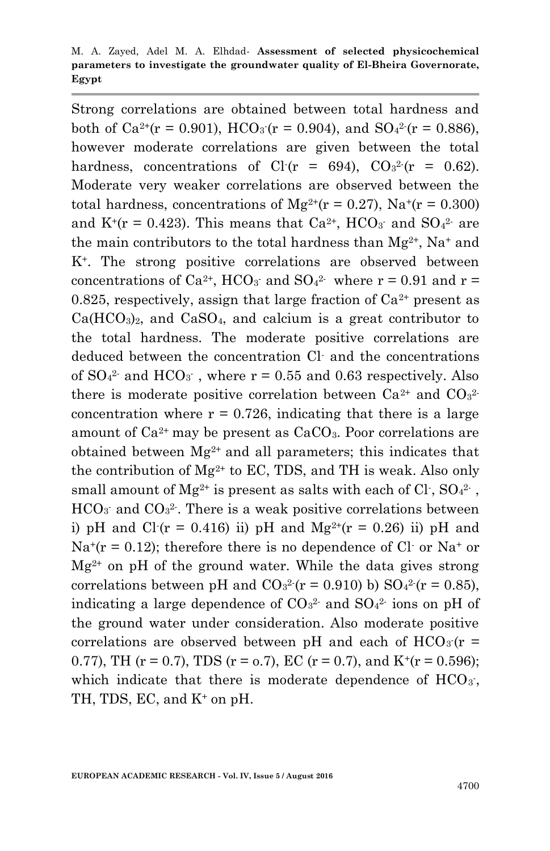M. A. Zayed, Adel M. A. Elhdad*-* **Assessment of selected physicochemical parameters to investigate the groundwater quality of El-Bheira Governorate, Egypt**

Strong correlations are obtained between total hardness and both of Ca<sup>2+</sup>(r = 0.901), HCO<sub>3</sub> (r = 0.904), and SO<sub>4</sub><sup>2</sup> (r = 0.886), however moderate correlations are given between the total hardness, concentrations of Cl  $(r = 694)$ , CO<sub>3</sub><sup>2</sup>  $(r = 0.62)$ . Moderate very weaker correlations are observed between the total hardness, concentrations of  $Mg^{2+}(r = 0.27)$ ,  $Na^{+}(r = 0.300)$ and  $K^+(r = 0.423)$ . This means that  $Ca^{2+}$ , HCO<sub>3</sub> and SO<sub>4</sub><sup>2</sup> are the main contributors to the total hardness than  $Mg^{2+}$ , Na<sup>+</sup> and K+. The strong positive correlations are observed between concentrations of Ca<sup>2+</sup>, HCO<sub>3</sub> and SO<sub>4</sub><sup>2</sup> where  $r = 0.91$  and  $r =$ 0.825, respectively, assign that large fraction of  $Ca^{2+}$  present as  $Ca(HCO<sub>3</sub>)<sub>2</sub>$ , and  $CaSO<sub>4</sub>$ , and calcium is a great contributor to the total hardness. The moderate positive correlations are deduced between the concentration Cl- and the concentrations of  $SO_4^2$  and  $HCO_3$ , where  $r = 0.55$  and 0.63 respectively. Also there is moderate positive correlation between  $Ca^{2+}$  and  $CO<sub>3</sub><sup>2</sup>$ concentration where  $r = 0.726$ , indicating that there is a large amount of  $Ca^{2+}$  may be present as  $CaCO<sub>3</sub>$ . Poor correlations are obtained between  $Mg^{2+}$  and all parameters; this indicates that the contribution of  $Mg^{2+}$  to EC, TDS, and TH is weak. Also only small amount of Mg<sup>2+</sup> is present as salts with each of Cl<sup>-</sup>, SO<sub>4</sub><sup>2-</sup>,  $HCO<sub>3</sub>$  and  $CO<sub>3</sub><sup>2</sup>$ . There is a weak positive correlations between i) pH and Cl  $(r = 0.416)$  ii) pH and Mg<sup>2+</sup>( $r = 0.26$ ) ii) pH and  $Na^{+}(r = 0.12)$ ; therefore there is no dependence of Cl· or Na<sup>+</sup> or  $Mg^{2+}$  on pH of the ground water. While the data gives strong correlations between pH and  $CO<sub>3</sub><sup>2</sup>$  ( $r = 0.910$ ) b)  $SO<sub>4</sub><sup>2</sup>$  ( $r = 0.85$ ), indicating a large dependence of  $CO<sub>3</sub><sup>2</sup>$  and  $SO<sub>4</sub><sup>2</sup>$  ions on pH of the ground water under consideration. Also moderate positive correlations are observed between pH and each of  $HCO<sub>3</sub>(r =$ 0.77), TH ( $r = 0.7$ ), TDS ( $r = 0.7$ ), EC ( $r = 0.7$ ), and  $K^+(r = 0.596)$ ; which indicate that there is moderate dependence of  $HCO<sub>3</sub>$ , TH, TDS, EC, and  $K^+$  on pH.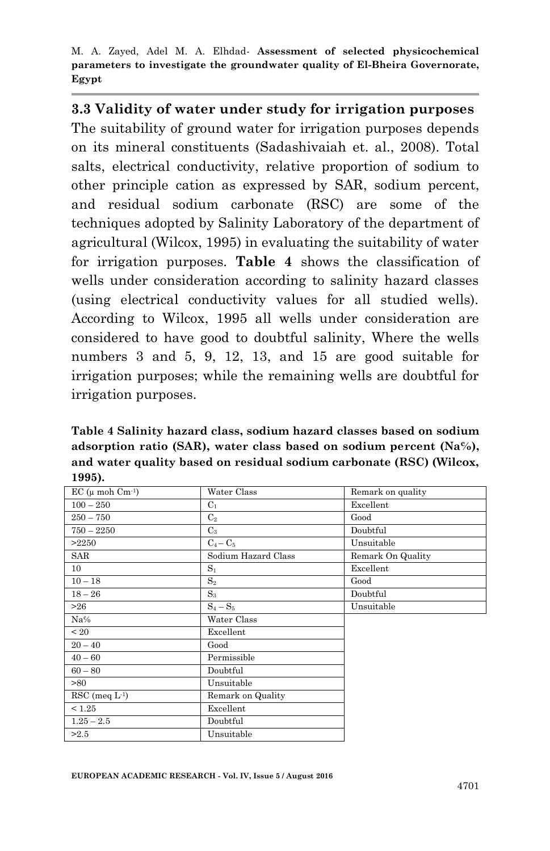# **3.3 Validity of water under study for irrigation purposes**

The suitability of ground water for irrigation purposes depends on its mineral constituents (Sadashivaiah et. al., 2008). Total salts, electrical conductivity, relative proportion of sodium to other principle cation as expressed by SAR, sodium percent, and residual sodium carbonate (RSC) are some of the techniques adopted by Salinity Laboratory of the department of agricultural (Wilcox, 1995) in evaluating the suitability of water for irrigation purposes. **Table 4** shows the classification of wells under consideration according to salinity hazard classes (using electrical conductivity values for all studied wells). According to Wilcox, 1995 all wells under consideration are considered to have good to doubtful salinity, Where the wells numbers 3 and 5, 9, 12, 13, and 15 are good suitable for irrigation purposes; while the remaining wells are doubtful for irrigation purposes.

**Table 4 Salinity hazard class, sodium hazard classes based on sodium adsorption ratio (SAR), water class based on sodium percent (Na℅), and water quality based on residual sodium carbonate (RSC) (Wilcox, 1995).**

| $EC$ ( $\mu$ moh $Cm^{-1}$ ) | Water Class         | Remark on quality |
|------------------------------|---------------------|-------------------|
| $100 - 250$                  | $C_1$               | Excellent         |
| $250 - 750$                  | $\mathrm{C}_2$      | Good              |
| $750 - 2250$                 | $C_3$               | Doubtful          |
| >2250                        | $C_4 - C_5$         | Unsuitable        |
| SAR                          | Sodium Hazard Class | Remark On Quality |
| 10 <sup>°</sup>              | $S_1$               | Excellent         |
| $10 - 18$                    | $S_2$               | Good              |
| $18 - 26$                    | $S_3$               | Doubtful          |
| >26                          | $S_4-S_5$           | Unsuitable        |
| Na%                          | Water Class         |                   |
| < 20                         | Excellent           |                   |
| $20 - 40$                    | Good                |                   |
| $40 - 60$                    | Permissible         |                   |
| $60 - 80$                    | Doubtful            |                   |
| >80                          | Unsuitable          |                   |
| $RSC$ (meq $L^{-1}$ )        | Remark on Quality   |                   |
| < 1.25                       | Excellent           |                   |
| $1.25 - 2.5$                 | Doubtful            |                   |
| >2.5                         | Unsuitable          |                   |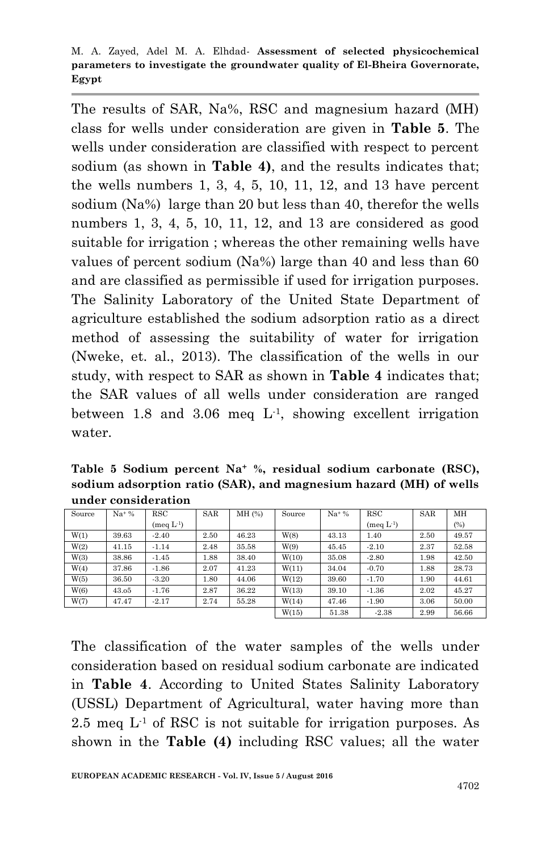The results of SAR, Na%, RSC and magnesium hazard (MH) class for wells under consideration are given in **Table 5**. The wells under consideration are classified with respect to percent sodium (as shown in **Table 4)**, and the results indicates that; the wells numbers  $1, 3, 4, 5, 10, 11, 12,$  and  $13$  have percent sodium (Na%) large than 20 but less than 40, therefor the wells numbers 1, 3, 4, 5, 10, 11, 12, and 13 are considered as good suitable for irrigation ; whereas the other remaining wells have values of percent sodium (Na%) large than 40 and less than 60 and are classified as permissible if used for irrigation purposes. The Salinity Laboratory of the United State Department of agriculture established the sodium adsorption ratio as a direct method of assessing the suitability of water for irrigation (Nweke, et. al., 2013). The classification of the wells in our study, with respect to SAR as shown in **Table 4** indicates that; the SAR values of all wells under consideration are ranged between 1.8 and 3.06 meq  $L<sup>1</sup>$ , showing excellent irrigation water.

**Table 5 Sodium percent Na<sup>+</sup> %, residual sodium carbonate (RSC), sodium adsorption ratio (SAR), and magnesium hazard (MH) of wells under consideration**

| Source | $Na+%$ | <b>RSC</b>          | <b>SAR</b> | MH (%) | Source | $Na+%$ | <b>RSC</b>  | <b>SAR</b> | MH    |
|--------|--------|---------------------|------------|--------|--------|--------|-------------|------------|-------|
|        |        | $(\text{meq } L^1)$ |            |        |        |        | $(meq L-1)$ |            | (%)   |
| W(1)   | 39.63  | $-2.40$             | 2.50       | 46.23  | W(8)   | 43.13  | 1.40        | 2.50       | 49.57 |
| W(2)   | 41.15  | $-1.14$             | 2.48       | 35.58  | W(9)   | 45.45  | $-2.10$     | 2.37       | 52.58 |
| W(3)   | 38.86  | $-1.45$             | 1.88       | 38.40  | W(10)  | 35.08  | $-2.80$     | 1.98       | 42.50 |
| W(4)   | 37.86  | $-1.86$             | 2.07       | 41.23  | W(11)  | 34.04  | $-0.70$     | 1.88       | 28.73 |
| W(5)   | 36.50  | $-3.20$             | 1.80       | 44.06  | W(12)  | 39.60  | $-1.70$     | 1.90       | 44.61 |
| W(6)   | 43.05  | $-1.76$             | 2.87       | 36.22  | W(13)  | 39.10  | $-1.36$     | 2.02       | 45.27 |
| W(7)   | 47.47  | $-2.17$             | 2.74       | 55.28  | W(14)  | 47.46  | $-1.90$     | 3.06       | 50.00 |
|        |        |                     |            |        | W(15)  | 51.38  | $-2.38$     | 2.99       | 56.66 |

The classification of the water samples of the wells under consideration based on residual sodium carbonate are indicated in **Table 4**. According to United States Salinity Laboratory (USSL) Department of Agricultural, water having more than 2.5 meg  $L<sup>1</sup>$  of RSC is not suitable for irrigation purposes. As shown in the **Table (4)** including RSC values; all the water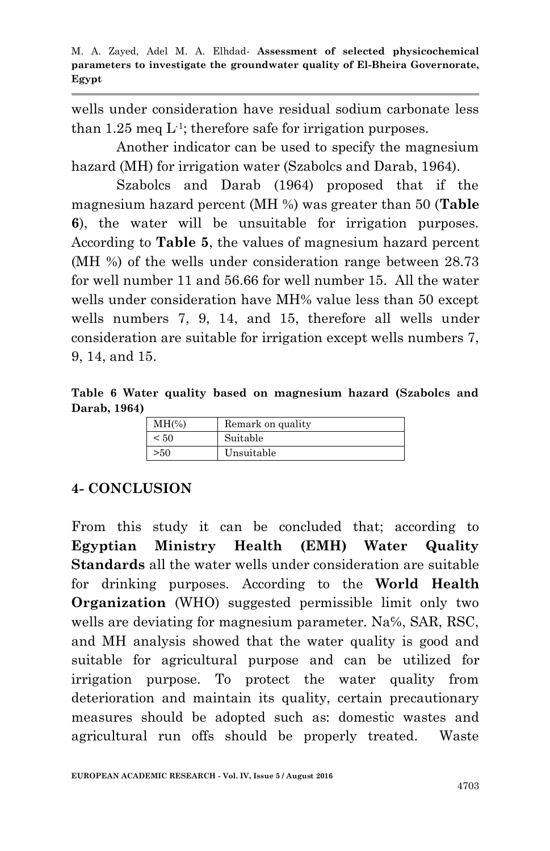wells under consideration have residual sodium carbonate less than  $1.25$  meq L<sup>1</sup>; therefore safe for irrigation purposes.

Another indicator can be used to specify the magnesium hazard (MH) for irrigation water (Szabolcs and Darab, 1964).

Szabolcs and Darab (1964) proposed that if the magnesium hazard percent (MH %) was greater than 50 (**Table 6**), the water will be unsuitable for irrigation purposes. According to **Table 5**, the values of magnesium hazard percent (MH %) of the wells under consideration range between 28.73 for well number 11 and 56.66 for well number 15. All the water wells under consideration have MH% value less than 50 except wells numbers 7, 9, 14, and 15, therefore all wells under consideration are suitable for irrigation except wells numbers 7, 9, 14, and 15.

**Table 6 Water quality based on magnesium hazard (Szabolcs and Darab, 1964)**

| $MH(\%)$ | Remark on quality |
|----------|-------------------|
| < 50     | Suitable          |
| >50      | Unsuitable        |

#### **4- CONCLUSION**

From this study it can be concluded that; according to **Egyptian Ministry Health (EMH) Water Quality Standards** all the water wells under consideration are suitable for drinking purposes. According to the **World Health Organization** (WHO) suggested permissible limit only two wells are deviating for magnesium parameter. Na<sup>%</sup>, SAR, RSC, and MH analysis showed that the water quality is good and suitable for agricultural purpose and can be utilized for irrigation purpose. To protect the water quality from deterioration and maintain its quality, certain precautionary measures should be adopted such as: domestic wastes and agricultural run offs should be properly treated. Waste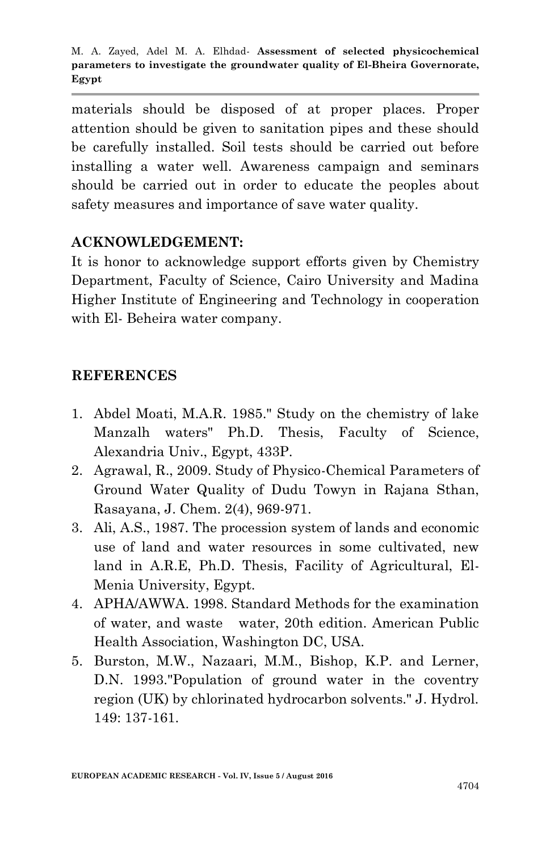materials should be disposed of at proper places. Proper attention should be given to sanitation pipes and these should be carefully installed. Soil tests should be carried out before installing a water well. Awareness campaign and seminars should be carried out in order to educate the peoples about safety measures and importance of save water quality.

### **ACKNOWLEDGEMENT:**

It is honor to acknowledge support efforts given by Chemistry Department, Faculty of Science, Cairo University and Madina Higher Institute of Engineering and Technology in cooperation with El- Beheira water company.

#### **REFERENCES**

- 1. Abdel Moati, M.A.R. 1985." Study on the chemistry of lake Manzalh waters" Ph.D. Thesis, Faculty of Science, Alexandria Univ., Egypt, 433P.
- 2. Agrawal, R., 2009. Study of Physico-Chemical Parameters of Ground Water Quality of Dudu Towyn in Rajana Sthan, Rasayana, J. Chem. 2(4), 969-971.
- 3. Ali, A.S., 1987. The procession system of lands and economic use of land and water resources in some cultivated, new land in A.R.E, Ph.D. Thesis, Facility of Agricultural, El-Menia University, Egypt.
- 4. APHA/AWWA. 1998. Standard Methods for the examination of water, and waste water, 20th edition. American Public Health Association, Washington DC, USA.
- 5. Burston, M.W., Nazaari, M.M., Bishop, K.P. and Lerner, D.N. 1993."Population of ground water in the coventry region (UK) by chlorinated hydrocarbon solvents." J. Hydrol. 149: 137-161.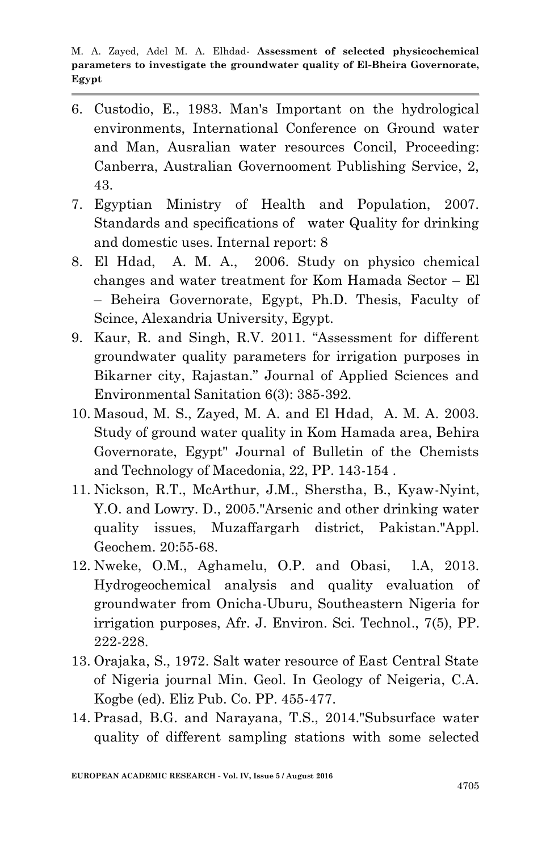- 6. Custodio, E., 1983. Man's Important on the hydrological environments, International Conference on Ground water and Man, Ausralian water resources Concil, Proceeding: Canberra, Australian Governooment Publishing Service, 2, 43.
- 7. Egyptian Ministry of Health and Population, 2007. Standards and specifications of water Quality for drinking and domestic uses. Internal report: 8
- 8. El Hdad, A. M. A., 2006. Study on physico chemical changes and water treatment for Kom Hamada Sector – El – Beheira Governorate, Egypt, Ph.D. Thesis, Faculty of Scince, Alexandria University, Egypt.
- 9. Kaur, R. and Singh, R.V. 2011. "Assessment for different groundwater quality parameters for irrigation purposes in Bikarner city, Rajastan." Journal of Applied Sciences and Environmental Sanitation 6(3): 385-392.
- 10. Masoud, M. S., Zayed, M. A. and El Hdad, A. M. A. 2003. Study of ground water quality in Kom Hamada area, Behira Governorate, Egypt" Journal of Bulletin of the Chemists and Technology of Macedonia, 22, PP. 143-154 .
- 11. Nickson, R.T., McArthur, J.M., Sherstha, B., Kyaw-Nyint, Y.O. and Lowry. D., 2005."Arsenic and other drinking water quality issues, Muzaffargarh district, Pakistan."Appl. Geochem. 20:55-68.
- 12. Nweke, O.M., Aghamelu, O.P. and Obasi, l.A, 2013. Hydrogeochemical analysis and quality evaluation of groundwater from Onicha-Uburu, Southeastern Nigeria for irrigation purposes, Afr. J. Environ. Sci. Technol., 7(5), PP. 222-228.
- 13. Orajaka, S., 1972. Salt water resource of East Central State of Nigeria journal Min. Geol. In Geology of Neigeria, C.A. Kogbe (ed). Eliz Pub. Co. PP. 455-477.
- 14. Prasad, B.G. and Narayana, T.S., 2014."Subsurface water quality of different sampling stations with some selected